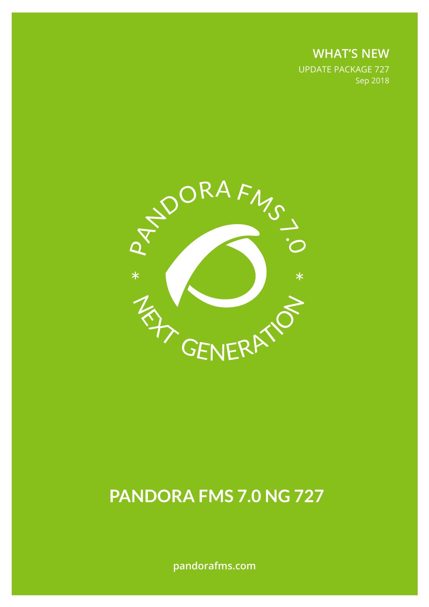**WHAT'S NEW** UPDATE PACKAGE 727 Sep 2018



# **PANDORA FMS 7.0 NG 727**

**pandorafms.com**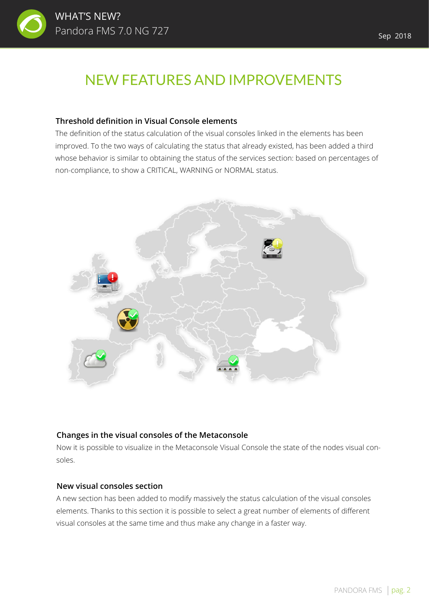

## NEW FEATURES AND IMPROVEMENTS

#### **Threshold definition in Visual Console elements**

The definition of the status calculation of the visual consoles linked in the elements has been improved. To the two ways of calculating the status that already existed, has been added a third whose behavior is similar to obtaining the status of the services section: based on percentages of non-compliance, to show a CRITICAL, WARNING or NORMAL status.



#### **Changes in the visual consoles of the Metaconsole**

Now it is possible to visualize in the Metaconsole Visual Console the state of the nodes visual consoles.

#### **New visual consoles section**

A new section has been added to modify massively the status calculation of the visual consoles elements. Thanks to this section it is possible to select a great number of elements of different visual consoles at the same time and thus make any change in a faster way.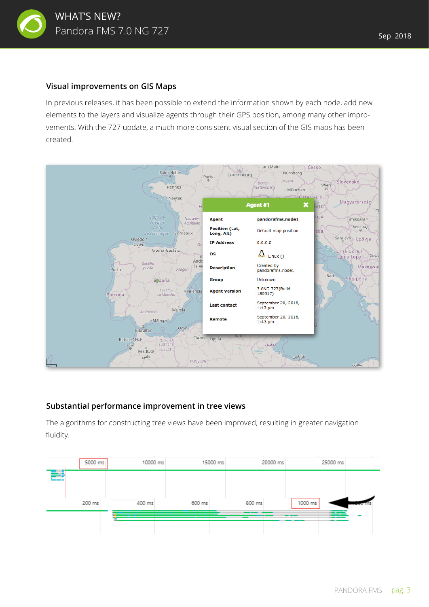

In previous releases, it has been possible to extend the information shown by each node, add new elements to the layers and visualize agents through their GPS position, among many other improvements. With the 727 update, a much more consistent visual section of the GIS maps has been created.



#### **Substantial performance improvement in tree views**

The algorithms for constructing tree views have been improved, resulting in greater navigation fluidity.